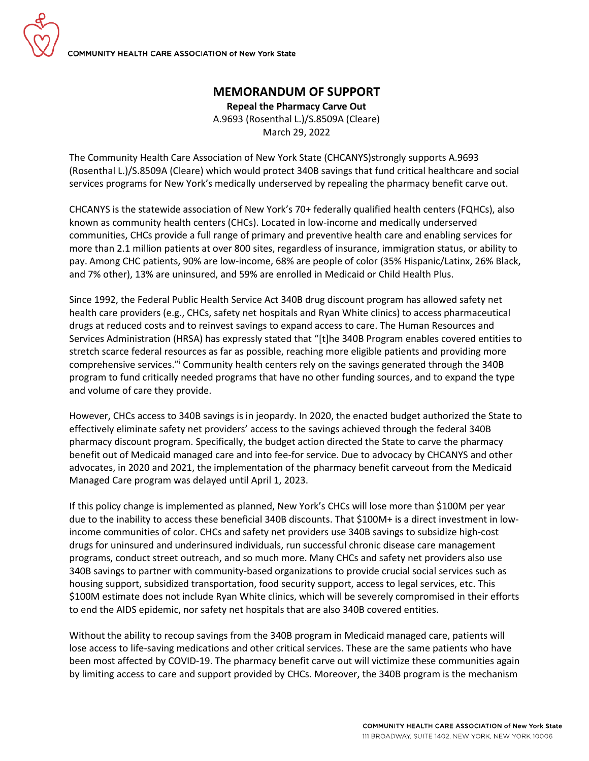## **MEMORANDUM OF SUPPORT**

**Repeal the Pharmacy Carve Out** A.9693 (Rosenthal L.)/S.8509A (Cleare) March 29, 2022

The Community Health Care Association of New York State (CHCANYS)strongly supports A.9693 (Rosenthal L.)/S.8509A (Cleare) which would protect 340B savings that fund critical healthcare and social services programs for New York's medically underserved by repealing the pharmacy benefit carve out.

CHCANYS is the statewide association of New York's 70+ federally qualified health centers (FQHCs), also known as community health centers (CHCs). Located in low-income and medically underserved communities, CHCs provide a full range of primary and preventive health care and enabling services for more than 2.1 million patients at over 800 sites, regardless of insurance, immigration status, or ability to pay. Among CHC patients, 90% are low-income, 68% are people of color (35% Hispanic/Latinx, 26% Black, and 7% other), 13% are uninsured, and 59% are enrolled in Medicaid or Child Health Plus.

Since 1992, the Federal Public Health Service Act 340B drug discount program has allowed safety net health care providers (e.g., CHCs, safety net hospitals and Ryan White clinics) to access pharmaceutical drugs at reduced costs and to reinvest savings to expand access to care. The Human Resources and Services Administration (HRSA) has expressly stated that "[t]he 340B Program enables covered entities to stretch scarce federal resources as far as possible, reaching more eligible patients and providing more comprehensive services."<sup>i</sup> Community health centers rely on the savings generated through the 340B program to fund critically needed programs that have no other funding sources, and to expand the type and volume of care they provide.

However, CHCs access to 340B savings is in jeopardy. In 2020, the enacted budget authorized the State to effectively eliminate safety net providers' access to the savings achieved through the federal 340B pharmacy discount program. Specifically, the budget action directed the State to carve the pharmacy benefit out of Medicaid managed care and into fee-for service. Due to advocacy by CHCANYS and other advocates, in 2020 and 2021, the implementation of the pharmacy benefit carveout from the Medicaid Managed Care program was delayed until April 1, 2023.

If this policy change is implemented as planned, New York's CHCs will lose more than \$100M per year due to the inability to access these beneficial 340B discounts. That \$100M+ is a direct investment in lowincome communities of color. CHCs and safety net providers use 340B savings to subsidize high-cost drugs for uninsured and underinsured individuals, run successful chronic disease care management programs, conduct street outreach, and so much more. Many CHCs and safety net providers also use 340B savings to partner with community-based organizations to provide crucial social services such as housing support, subsidized transportation, food security support, access to legal services, etc. This \$100M estimate does not include Ryan White clinics, which will be severely compromised in their efforts to end the AIDS epidemic, nor safety net hospitals that are also 340B covered entities.

Without the ability to recoup savings from the 340B program in Medicaid managed care, patients will lose access to life-saving medications and other critical services. These are the same patients who have been most affected by COVID-19. The pharmacy benefit carve out will victimize these communities again by limiting access to care and support provided by CHCs. Moreover, the 340B program is the mechanism